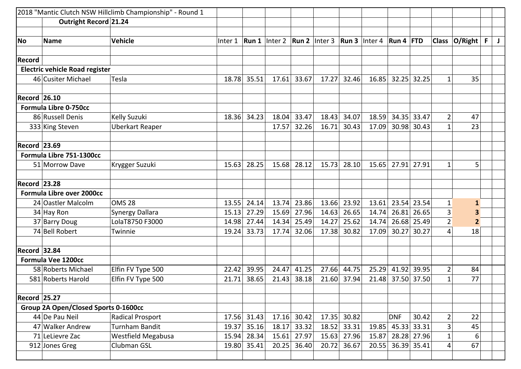| 2018 "Mantic Clutch NSW Hillclimb Championship" - Round 1 |                                             |                         |         |             |                        |             |                               |             |                    |            |             |                         |              |   |   |
|-----------------------------------------------------------|---------------------------------------------|-------------------------|---------|-------------|------------------------|-------------|-------------------------------|-------------|--------------------|------------|-------------|-------------------------|--------------|---|---|
|                                                           | Outright Record 21.24                       |                         |         |             |                        |             |                               |             |                    |            |             |                         |              |   |   |
|                                                           |                                             |                         |         |             |                        |             |                               |             |                    |            |             |                         |              |   |   |
| <b>No</b>                                                 | <b>Name</b>                                 | <b>Vehicle</b>          | Inter 1 |             | <b>Run 1</b>   Inter 2 |             | $\vert$ Run 2 $\vert$ Inter 3 | Run 3       | Inter <sub>4</sub> | Run 4      | <b>FTD</b>  | <b>Class</b>            | O/Right      | F | J |
|                                                           |                                             |                         |         |             |                        |             |                               |             |                    |            |             |                         |              |   |   |
| <b>Record</b>                                             |                                             |                         |         |             |                        |             |                               |             |                    |            |             |                         |              |   |   |
|                                                           | <b>Electric vehicle Road register</b>       |                         |         |             |                        |             |                               |             |                    |            |             |                         |              |   |   |
|                                                           | 46 Cusiter Michael                          | Tesla                   | 18.78   | 35.51       | 17.61                  | 33.67       | 17.27                         | 32.46       | 16.85              |            | 32.25 32.25 | $\mathbf{1}$            | 35           |   |   |
| <b>Record 26.10</b>                                       |                                             |                         |         |             |                        |             |                               |             |                    |            |             |                         |              |   |   |
|                                                           | <b>Formula Libre 0-750cc</b>                |                         |         |             |                        |             |                               |             |                    |            |             |                         |              |   |   |
|                                                           | 86 Russell Denis                            | Kelly Suzuki            | 18.36   | 34.23       | 18.04                  | 33.47       | 18.43                         | 34.07       | 18.59              | 34.35      | 33.47       | $\overline{2}$          | 47           |   |   |
|                                                           | 333 King Steven                             | Uberkart Reaper         |         |             | 17.57                  | 32.26       | 16.71                         | 30.43       | 17.09              | 30.98      | 30.43       | $\overline{1}$          | 23           |   |   |
| <b>Record 23.69</b>                                       |                                             |                         |         |             |                        |             |                               |             |                    |            |             |                         |              |   |   |
|                                                           | Formula Libre 751-1300cc                    |                         |         |             |                        |             |                               |             |                    |            |             |                         |              |   |   |
|                                                           | 51 Morrow Dave                              | Krygger Suzuki          | 15.63   | 28.25       | 15.68                  | 28.12       | 15.73                         | 28.10       | 15.65              | 27.91      | 27.91       | $\mathbf{1}$            | 5            |   |   |
|                                                           |                                             |                         |         |             |                        |             |                               |             |                    |            |             |                         |              |   |   |
| <b>Record 23.28</b>                                       |                                             |                         |         |             |                        |             |                               |             |                    |            |             |                         |              |   |   |
|                                                           | <b>Formula Libre over 2000cc</b>            |                         |         |             |                        |             |                               |             |                    |            |             |                         |              |   |   |
|                                                           | 24 Oastler Malcolm                          | <b>OMS 28</b>           | 13.55   | 24.14       | 13.74                  | 23.86       | 13.66                         | 23.92       | 13.61              | 23.54      | 23.54       | 1                       | $\mathbf{1}$ |   |   |
|                                                           | 34 Hay Ron                                  | Synergy Dallara         | 15.13   | 27.29       | 15.69                  | 27.96       | 14.63                         | 26.65       | 14.74              | 26.81      | 26.65       | 3                       | 3            |   |   |
|                                                           | 37 Barry Doug                               | LolaT8750 F3000         | 14.98   | 27.44       | 14.34                  | 25.49       | 14.27                         | 25.62       | 14.74              | 26.68      | 25.49       | $\overline{2}$          | $\mathbf{2}$ |   |   |
|                                                           | 74 Bell Robert                              | Twinnie                 | 19.24   | 33.73       | 17.74                  | 32.06       | 17.38                         | 30.82       | 17.09              | 30.27      | 30.27       | 4                       | 18           |   |   |
| <b>Record 32.84</b>                                       |                                             |                         |         |             |                        |             |                               |             |                    |            |             |                         |              |   |   |
|                                                           |                                             |                         |         |             |                        |             |                               |             |                    |            |             |                         |              |   |   |
|                                                           | <b>Formula Vee 1200cc</b>                   |                         |         |             |                        |             |                               |             |                    |            |             |                         |              |   |   |
|                                                           | 58 Roberts Michael                          | Elfin FV Type 500       | 22.42   | 39.95       | 24.47                  | 41.25       | 27.66                         | 44.75       | 25.29              | 41.92      | 39.95       | $\overline{c}$          | 84           |   |   |
|                                                           | 581 Roberts Harold                          | Elfin FV Type 500       | 21.71   | 38.65       | 21.43                  | 38.18       | 21.60                         | 37.94       | 21.48              |            | 37.50 37.50 | $\mathbf{1}$            | 77           |   |   |
| <b>Record 25.27</b>                                       |                                             |                         |         |             |                        |             |                               |             |                    |            |             |                         |              |   |   |
|                                                           | <b>Group 2A Open/Closed Sports 0-1600cc</b> |                         |         |             |                        |             |                               |             |                    |            |             |                         |              |   |   |
|                                                           | 44 De Pau Neil                              | <b>Radical Prosport</b> |         | 17.56 31.43 |                        | 17.16 30.42 |                               | 17.35 30.82 |                    | <b>DNF</b> | 30.42       | $\overline{2}$          | 22           |   |   |
|                                                           | 47 Walker Andrew                            | <b>Turnham Bandit</b>   | 19.37   | 35.16       | 18.17                  | 33.32       |                               | 18.52 33.31 | 19.85              |            | 45.33 33.31 | 3                       | 45           |   |   |
|                                                           | 71 LeLievre Zac                             | Westfield Megabusa      | 15.94   | 28.34       |                        | 15.61 27.97 |                               | 15.63 27.96 | 15.87              |            | 28.28 27.96 | $\mathbf 1$             | 6            |   |   |
|                                                           | 912 Jones Greg                              | Clubman GSL             | 19.80   | 35.41       | 20.25                  | 36.40       | 20.72                         | 36.67       | 20.55              |            | 36.39 35.41 | $\overline{\mathbf{4}}$ | 67           |   |   |
|                                                           |                                             |                         |         |             |                        |             |                               |             |                    |            |             |                         |              |   |   |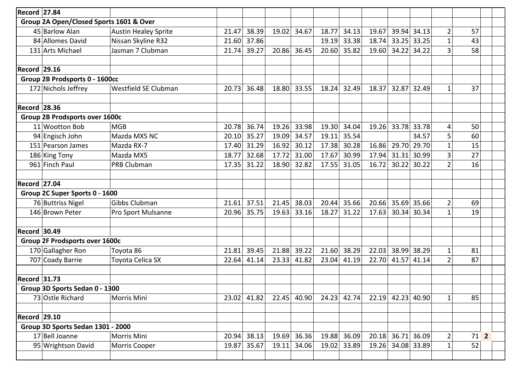| Record 27.84        |                                         |                             |       |       |       |       |       |       |       |                   |             |                |                 |  |
|---------------------|-----------------------------------------|-----------------------------|-------|-------|-------|-------|-------|-------|-------|-------------------|-------------|----------------|-----------------|--|
|                     | Group 2A Open/Closed Sports 1601 & Over |                             |       |       |       |       |       |       |       |                   |             |                |                 |  |
|                     | 45 Barlow Alan                          | <b>Austin Healey Sprite</b> | 21.47 | 38.39 | 19.02 | 34.67 | 18.77 | 34.13 | 19.67 | 39.94             | 34.13       | $\overline{2}$ | 57              |  |
|                     | 84 Allomes David                        | Nissan Skyline R32          | 21.60 | 37.86 |       |       | 19.19 | 33.38 | 18.74 | 33.25             | 33.25       | $\mathbf{1}$   | 43              |  |
|                     | 131 Arts Michael                        | Jasman 7 Clubman            | 21.74 | 39.27 | 20.86 | 36.45 | 20.60 | 35.82 | 19.60 | 34.22             | 34.22       | $\overline{3}$ | 58              |  |
|                     |                                         |                             |       |       |       |       |       |       |       |                   |             |                |                 |  |
| <b>Record 29.16</b> |                                         |                             |       |       |       |       |       |       |       |                   |             |                |                 |  |
|                     | Group 2B Prodsports 0 - 1600cc          |                             |       |       |       |       |       |       |       |                   |             |                |                 |  |
|                     | 172 Nichols Jeffrey                     | Westfield SE Clubman        | 20.73 | 36.48 | 18.80 | 33.55 | 18.24 | 32.49 | 18.37 |                   | 32.87 32.49 | $\mathbf{1}$   | 37              |  |
| <b>Record 28.36</b> |                                         |                             |       |       |       |       |       |       |       |                   |             |                |                 |  |
|                     | Group 2B Prodsports over 1600c          |                             |       |       |       |       |       |       |       |                   |             |                |                 |  |
|                     | 11 Wootton Bob                          | <b>MGB</b>                  | 20.78 | 36.74 | 19.26 | 33.98 | 19.30 | 34.04 | 19.26 | 33.78             | 33.78       | 4              | 50              |  |
|                     | 94 Engisch John                         | Mazda MX5 NC                | 20.10 | 35.27 | 19.09 | 34.57 | 19.11 | 35.54 |       |                   | 34.57       | 5              | 60              |  |
|                     | 151 Pearson James                       | Mazda RX-7                  | 17.40 | 31.29 | 16.92 | 30.12 | 17.38 | 30.28 | 16.86 | 29.70             | 29.70       | $\mathbf{1}$   | 15              |  |
|                     | 186 King Tony                           | Mazda MX5                   | 18.77 | 32.68 | 17.72 | 31.00 | 17.67 | 30.99 | 17.94 | 31.31             | 30.99       | 3              | 27              |  |
|                     | 961 Finch Paul                          | PRB Clubman                 | 17.35 | 31.22 | 18.90 | 32.82 | 17.55 | 31.05 | 16.72 | 30.22             | 30.22       | $\overline{2}$ | 16              |  |
| Record 27.04        |                                         |                             |       |       |       |       |       |       |       |                   |             |                |                 |  |
|                     | Group 2C Super Sports 0 - 1600          |                             |       |       |       |       |       |       |       |                   |             |                |                 |  |
|                     | 76 Buttriss Nigel                       | <b>Gibbs Clubman</b>        | 21.61 | 37.51 | 21.45 | 38.03 | 20.44 | 35.66 | 20.66 | 35.69             | 35.66       | $\overline{2}$ | 69              |  |
|                     | 146 Brown Peter                         | Pro Sport Mulsanne          | 20.96 | 35.75 | 19.63 | 33.16 | 18.27 | 31.22 | 17.63 | 30.34             | 30.34       | $\mathbf{1}$   | 19              |  |
| Record 30.49        |                                         |                             |       |       |       |       |       |       |       |                   |             |                |                 |  |
|                     | Group 2F Prodsports over 1600c          |                             |       |       |       |       |       |       |       |                   |             |                |                 |  |
|                     | 170 Gallagher Ron                       | Toyota 86                   | 21.81 | 39.45 | 21.88 | 39.22 | 21.60 | 38.29 | 22.03 | 38.99             | 38.29       | $\mathbf{1}$   | 81              |  |
|                     | 707 Coady Barrie                        | Toyota Celica SX            | 22.64 | 41.14 | 23.33 | 41.82 | 23.04 | 41.19 | 22.70 | 41.57             | 41.14       | $\overline{2}$ | 87              |  |
| <b>Record 31.73</b> |                                         |                             |       |       |       |       |       |       |       |                   |             |                |                 |  |
|                     | Group 3D Sports Sedan 0 - 1300          |                             |       |       |       |       |       |       |       |                   |             |                |                 |  |
|                     | 73 Ostle Richard                        | Morris Mini                 | 23.02 | 41.82 | 22.45 | 40.90 | 24.23 | 42.74 |       | 22.19 42.23 40.90 |             | $\mathbf{1}$   | 85              |  |
| Record 29.10        |                                         |                             |       |       |       |       |       |       |       |                   |             |                |                 |  |
|                     | Group 3D Sports Sedan 1301 - 2000       |                             |       |       |       |       |       |       |       |                   |             |                |                 |  |
|                     | 17 Bell Joanne                          | Morris Mini                 | 20.94 | 38.13 | 19.69 | 36.36 | 19.88 | 36.09 | 20.18 |                   | 36.71 36.09 | $\overline{2}$ | 71 <sup>2</sup> |  |
|                     | 95 Wrightson David                      | Morris Cooper               | 19.87 | 35.67 | 19.11 | 34.06 | 19.02 | 33.89 | 19.26 |                   | 34.08 33.89 | $\mathbf{1}$   | 52              |  |
|                     |                                         |                             |       |       |       |       |       |       |       |                   |             |                |                 |  |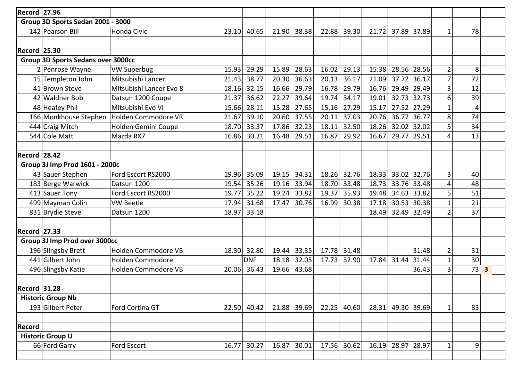| <b>Record 27.96</b>                       |                                   |                         |       |             |       |       |       |             |       |       |             |                |                 |  |
|-------------------------------------------|-----------------------------------|-------------------------|-------|-------------|-------|-------|-------|-------------|-------|-------|-------------|----------------|-----------------|--|
|                                           | Group 3D Sports Sedan 2001 - 3000 |                         |       |             |       |       |       |             |       |       |             |                |                 |  |
|                                           | 142 Pearson Bill                  | <b>Honda Civic</b>      | 23.10 | 40.65       | 21.90 | 38.38 | 22.88 | 39.30       | 21.72 |       | 37.89 37.89 | $\mathbf{1}$   | 78              |  |
|                                           |                                   |                         |       |             |       |       |       |             |       |       |             |                |                 |  |
| <b>Record 25.30</b>                       |                                   |                         |       |             |       |       |       |             |       |       |             |                |                 |  |
| <b>Group 3D Sports Sedans over 3000cc</b> |                                   |                         |       |             |       |       |       |             |       |       |             |                |                 |  |
|                                           | 2 Penrose Wayne                   | <b>VW Superbug</b>      | 15.93 | 29.29       | 15.89 | 28.63 | 16.02 | 29.13       | 15.38 | 28.56 | 28.56       | $\overline{2}$ | 8               |  |
|                                           | 15 Templeton John                 | Mitsubishi Lancer       | 21.43 | 38.77       | 20.30 | 36.63 | 20.13 | 36.17       | 21.09 | 37.72 | 36.17       | $\overline{7}$ | 72              |  |
|                                           | 41 Brown Steve                    | Mitsubishi Lancer Evo 8 | 18.16 | 32.15       | 16.66 | 29.79 | 16.78 | 29.79       | 16.76 | 29.49 | 29.49       | $\overline{3}$ | 12              |  |
|                                           | 42 Waldner Bob                    | Datsun 1200 Coupe       | 21.37 | 36.62       | 22.27 | 39.64 | 19.74 | 34.17       | 19.01 | 32.73 | 32.73       | 6              | 39              |  |
|                                           | 48 Heafey Phil                    | Mitsubishi Evo VI       | 15.66 | 28.11       | 15.28 | 27.65 | 15.16 | 27.29       | 15.17 | 27.52 | 27.29       | $\mathbf{1}$   | 4               |  |
|                                           | 166 Monkhouse Stephen             | Holden Commodore VR     | 21.67 | 39.10       | 20.60 | 37.55 | 20.11 | 37.03       | 20.76 | 36.77 | 36.77       | 8              | 74              |  |
|                                           | 444 Craig Mitch                   | Holden Gemini Coupe     | 18.70 | 33.37       | 17.86 | 32.23 | 18.11 | 32.50       | 18.26 | 32.02 | 32.02       | 5              | 34              |  |
|                                           | 544 Cole Matt                     | Mazda RX7               | 16.86 | 30.21       | 16.48 | 29.51 | 16.87 | 29.92       | 16.67 | 29.77 | 29.51       | 4              | 13              |  |
|                                           |                                   |                         |       |             |       |       |       |             |       |       |             |                |                 |  |
| <b>Record 28.42</b>                       |                                   |                         |       |             |       |       |       |             |       |       |             |                |                 |  |
|                                           | Group 3J Imp Prod 1601 - 2000c    |                         |       |             |       |       |       |             |       |       |             |                |                 |  |
|                                           | 43 Sauer Stephen                  | Ford Escort RS2000      | 19.96 | 35.09       | 19.15 | 34.31 | 18.26 | 32.76       | 18.33 | 33.02 | 32.76       | 3              | 40              |  |
|                                           | 183 Berge Warwick                 | Datsun 1200             | 19.54 | 35.26       | 19.16 | 33.94 | 18.70 | 33.48       | 18.73 | 33.76 | 33.48       | $\overline{4}$ | 48              |  |
|                                           | 413 Sauer Tony                    | Ford Escort RS2000      | 19.77 | 35.22       | 19.24 | 33.82 | 19.37 | 35.93       | 19.48 | 34.63 | 33.82       | 5              | 51              |  |
|                                           | 499 Mayman Colin                  | <b>VW Beetle</b>        | 17.94 | 31.68       | 17.47 | 30.76 | 16.99 | 30.38       | 17.18 | 30.53 | 30.38       | $\mathbf{1}$   | 21              |  |
|                                           | 831 Brydie Steve                  | Datsun 1200             | 18.97 | 33.18       |       |       |       |             | 18.49 |       | 32.49 32.49 | $\overline{2}$ | 37              |  |
|                                           |                                   |                         |       |             |       |       |       |             |       |       |             |                |                 |  |
| <b>Record 27.33</b>                       |                                   |                         |       |             |       |       |       |             |       |       |             |                |                 |  |
|                                           | Group 3J Imp Prod over 3000cc     |                         |       |             |       |       |       |             |       |       |             |                |                 |  |
|                                           | 196 Slingsby Brett                | Holden Commodore VB     | 18.30 | 32.80       | 19.44 | 33.35 | 17.78 | 31.48       |       |       | 31.48       | $\overline{2}$ | 31              |  |
|                                           | 441 Gilbert John                  | <b>Holden Commodore</b> |       | <b>DNF</b>  | 18.18 | 32.05 | 17.73 | 32.90       | 17.84 | 31.44 | 31.44       | $\mathbf{1}$   | 30              |  |
|                                           | 496 Slingsby Katie                | Holden Commodore VB     | 20.06 | 36.43       | 19.66 | 43.68 |       |             |       |       | 36.43       | $\overline{3}$ | 73 <sup>3</sup> |  |
|                                           |                                   |                         |       |             |       |       |       |             |       |       |             |                |                 |  |
| <b>Record 31.28</b>                       |                                   |                         |       |             |       |       |       |             |       |       |             |                |                 |  |
|                                           | <b>Historic Group Nb</b>          |                         |       |             |       |       |       |             |       |       |             |                |                 |  |
|                                           | 193 Gilbert Peter                 | Ford Cortina GT         |       | 22.50 40.42 | 21.88 | 39.69 | 22.25 | 40.60       | 28.31 |       | 49.30 39.69 | $\mathbf{1}$   | 83              |  |
|                                           |                                   |                         |       |             |       |       |       |             |       |       |             |                |                 |  |
| <b>Record</b>                             |                                   |                         |       |             |       |       |       |             |       |       |             |                |                 |  |
|                                           | <b>Historic Group U</b>           |                         |       |             |       |       |       |             |       |       |             |                |                 |  |
|                                           | 66 Ford Garry                     | Ford Escort             | 16.77 | 30.27       | 16.87 | 30.01 |       | 17.56 30.62 | 16.19 |       | 28.97 28.97 | $\mathbf{1}$   | 9               |  |
|                                           |                                   |                         |       |             |       |       |       |             |       |       |             |                |                 |  |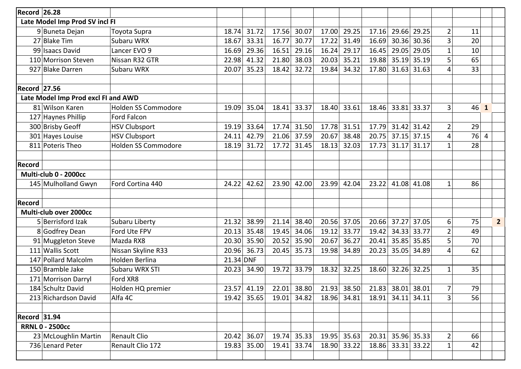| <b>Record 26.28</b>                 |                                |                            |           |             |       |             |       |             |       |                   |             |                |        |                |
|-------------------------------------|--------------------------------|----------------------------|-----------|-------------|-------|-------------|-------|-------------|-------|-------------------|-------------|----------------|--------|----------------|
|                                     | Late Model Imp Prod SV incl FI |                            |           |             |       |             |       |             |       |                   |             |                |        |                |
|                                     | 9 Buneta Dejan                 | Toyota Supra               | 18.74     | 31.72       | 17.56 | 30.07       | 17.00 | 29.25       | 17.16 | 29.66             | 29.25       | $\overline{2}$ | 11     |                |
|                                     | 27 Blake Tim                   | Subaru WRX                 | 18.67     | 33.31       | 16.77 | 30.77       | 17.22 | 31.49       | 16.69 | 30.36             | 30.36       | 3              | 20     |                |
|                                     | 99 Isaacs David                | Lancer EVO 9               | 16.69     | 29.36       | 16.51 | 29.16       | 16.24 | 29.17       | 16.45 | 29.05             | 29.05       | $\mathbf{1}$   | 10     |                |
|                                     | 110 Morrison Steven            | Nissan R32 GTR             | 22.98     | 41.32       | 21.80 | 38.03       | 20.03 | 35.21       | 19.88 | 35.19             | 35.19       | 5              | 65     |                |
|                                     | 927 Blake Darren               | Subaru WRX                 | 20.07     | 35.23       | 18.42 | 32.72       | 19.84 | 34.32       | 17.80 | 31.63             | 31.63       | 4              | 33     |                |
|                                     |                                |                            |           |             |       |             |       |             |       |                   |             |                |        |                |
| Record 27.56                        |                                |                            |           |             |       |             |       |             |       |                   |             |                |        |                |
| Late Model Imp Prod excl FI and AWD |                                |                            |           |             |       |             |       |             |       |                   |             |                |        |                |
|                                     | 81 Wilson Karen                | <b>Holden SS Commodore</b> | 19.09     | 35.04       | 18.41 | 33.37       | 18.40 | 33.61       | 18.46 | 33.81             | 33.37       | 3 <sup>1</sup> | 46 1   |                |
|                                     | 127 Haynes Phillip             | Ford Falcon                |           |             |       |             |       |             |       |                   |             |                |        |                |
|                                     | 300 Brisby Geoff               | <b>HSV Clubsport</b>       | 19.19     | 33.64       | 17.74 | 31.50       | 17.78 | 31.51       | 17.79 | 31.42             | 31.42       | $\overline{2}$ | 29     |                |
|                                     | 301 Hayes Louise               | <b>HSV Clubsport</b>       | 24.11     | 42.79       | 21.06 | 37.59       | 20.67 | 38.48       | 20.75 | 37.15             | 37.15       | $\overline{4}$ | $76$ 4 |                |
|                                     | 811 Poteris Theo               | <b>Holden SS Commodore</b> | 18.19     | 31.72       | 17.72 | 31.45       | 18.13 | 32.03       | 17.73 | 31.17             | 31.17       | $\mathbf{1}$   | 28     |                |
|                                     |                                |                            |           |             |       |             |       |             |       |                   |             |                |        |                |
| <b>Record</b>                       |                                |                            |           |             |       |             |       |             |       |                   |             |                |        |                |
| Multi-club 0 - 2000cc               |                                |                            |           |             |       |             |       |             |       |                   |             |                |        |                |
|                                     | 145 Mulholland Gwyn            | Ford Cortina 440           | 24.22     | 42.62       | 23.90 | 42.00       | 23.99 | 42.04       | 23.22 | 41.08             | 41.08       | $\mathbf{1}$   | 86     |                |
|                                     |                                |                            |           |             |       |             |       |             |       |                   |             |                |        |                |
| Record                              |                                |                            |           |             |       |             |       |             |       |                   |             |                |        |                |
|                                     | Multi-club over 2000cc         |                            |           |             |       |             |       |             |       |                   |             |                |        |                |
|                                     | 5 Berrisford Izak              | Subaru Liberty             | 21.32     | 38.99       | 21.14 | 38.40       | 20.56 | 37.05       | 20.66 | 37.27             | 37.05       | 6              | 75     | $\overline{2}$ |
|                                     | 8 Godfrey Dean                 | Ford Ute FPV               | 20.13     | 35.48       | 19.45 | 34.06       | 19.12 | 33.77       | 19.42 | 34.33             | 33.77       | $\overline{2}$ | 49     |                |
|                                     | 91 Muggleton Steve             | Mazda RX8                  | 20.30     | 35.90       | 20.52 | 35.90       | 20.67 | 36.27       | 20.41 | 35.85             | 35.85       | 5              | 70     |                |
|                                     | 111 Wallis Scott               | Nissan Skyline R33         | 20.96     | 36.73       | 20.45 | 35.73       | 19.98 | 34.89       | 20.23 | 35.05             | 34.89       | $\overline{4}$ | 62     |                |
|                                     | 147 Pollard Malcolm            | Holden Berlina             | 21.34 DNF |             |       |             |       |             |       |                   |             |                |        |                |
|                                     | 150 Bramble Jake               | Subaru WRX STI             | 20.23     | 34.90       | 19.72 | 33.79       | 18.32 | 32.25       | 18.60 | 32.26             | 32.25       | $\mathbf{1}$   | 35     |                |
|                                     | 171 Morrison Darryl            | Ford XR8                   |           |             |       |             |       |             |       |                   |             |                |        |                |
|                                     | 184 Schultz David              | Holden HQ premier          |           | 23.57 41.19 | 22.01 | 38.80       | 21.93 | 38.50       |       | 21.83 38.01 38.01 |             | $\overline{7}$ | 79     |                |
|                                     | 213 Richardson David           | Alfa 4C                    | 19.42     | 35.65       | 19.01 | 34.82       |       | 18.96 34.81 | 18.91 | 34.11 34.11       |             | 3 <sup>1</sup> | 56     |                |
|                                     |                                |                            |           |             |       |             |       |             |       |                   |             |                |        |                |
| <b>Record 31.94</b>                 |                                |                            |           |             |       |             |       |             |       |                   |             |                |        |                |
|                                     | <b>RRNL 0 - 2500cc</b>         |                            |           |             |       |             |       |             |       |                   |             |                |        |                |
|                                     | 23 McLoughlin Martin           | <b>Renault Clio</b>        | 20.42     | 36.07       |       | 19.74 35.33 | 19.95 | 35.63       | 20.31 |                   | 35.96 35.33 | $\overline{2}$ | 66     |                |
|                                     | 736 Lenard Peter               | Renault Clio 172           | 19.83     | 35.00       | 19.41 | 33.74       | 18.90 | 33.22       | 18.86 |                   | 33.31 33.22 | $\mathbf{1}$   | 42     |                |
|                                     |                                |                            |           |             |       |             |       |             |       |                   |             |                |        |                |